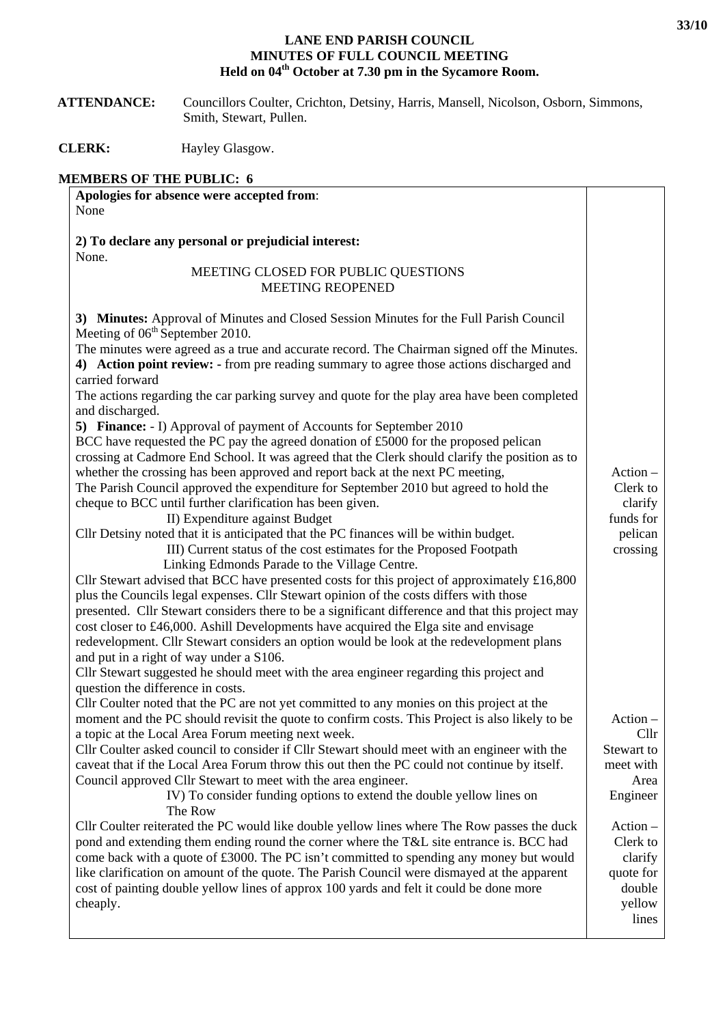## **LANE END PARISH COUNCIL MINUTES OF FULL COUNCIL MEETING Held on 04th October at 7.30 pm in the Sycamore Room.**

| <b>ATTENDANCE:</b> | Councillors Coulter, Crichton, Detsiny, Harris, Mansell, Nicolson, Osborn, Simmons, |
|--------------------|-------------------------------------------------------------------------------------|
|                    | Smith, Stewart, Pullen.                                                             |

**CLERK:** Hayley Glasgow.

## **MEMBERS OF THE PUBLIC: 6**

| Apologies for absence were accepted from:                                                                                                                                                                                                                                                                                                                                                                                                                                                                                                                                                                                                                                                                                                                                                                                                                                                                                                                                                                                                                                                                                                                                                                                                                                                                                                                                                                                                                                                                                                                                                                                                                                                                                                                      |                                                                             |
|----------------------------------------------------------------------------------------------------------------------------------------------------------------------------------------------------------------------------------------------------------------------------------------------------------------------------------------------------------------------------------------------------------------------------------------------------------------------------------------------------------------------------------------------------------------------------------------------------------------------------------------------------------------------------------------------------------------------------------------------------------------------------------------------------------------------------------------------------------------------------------------------------------------------------------------------------------------------------------------------------------------------------------------------------------------------------------------------------------------------------------------------------------------------------------------------------------------------------------------------------------------------------------------------------------------------------------------------------------------------------------------------------------------------------------------------------------------------------------------------------------------------------------------------------------------------------------------------------------------------------------------------------------------------------------------------------------------------------------------------------------------|-----------------------------------------------------------------------------|
| None                                                                                                                                                                                                                                                                                                                                                                                                                                                                                                                                                                                                                                                                                                                                                                                                                                                                                                                                                                                                                                                                                                                                                                                                                                                                                                                                                                                                                                                                                                                                                                                                                                                                                                                                                           |                                                                             |
|                                                                                                                                                                                                                                                                                                                                                                                                                                                                                                                                                                                                                                                                                                                                                                                                                                                                                                                                                                                                                                                                                                                                                                                                                                                                                                                                                                                                                                                                                                                                                                                                                                                                                                                                                                |                                                                             |
| 2) To declare any personal or prejudicial interest:                                                                                                                                                                                                                                                                                                                                                                                                                                                                                                                                                                                                                                                                                                                                                                                                                                                                                                                                                                                                                                                                                                                                                                                                                                                                                                                                                                                                                                                                                                                                                                                                                                                                                                            |                                                                             |
| None.                                                                                                                                                                                                                                                                                                                                                                                                                                                                                                                                                                                                                                                                                                                                                                                                                                                                                                                                                                                                                                                                                                                                                                                                                                                                                                                                                                                                                                                                                                                                                                                                                                                                                                                                                          |                                                                             |
| MEETING CLOSED FOR PUBLIC QUESTIONS                                                                                                                                                                                                                                                                                                                                                                                                                                                                                                                                                                                                                                                                                                                                                                                                                                                                                                                                                                                                                                                                                                                                                                                                                                                                                                                                                                                                                                                                                                                                                                                                                                                                                                                            |                                                                             |
| <b>MEETING REOPENED</b>                                                                                                                                                                                                                                                                                                                                                                                                                                                                                                                                                                                                                                                                                                                                                                                                                                                                                                                                                                                                                                                                                                                                                                                                                                                                                                                                                                                                                                                                                                                                                                                                                                                                                                                                        |                                                                             |
| 3) Minutes: Approval of Minutes and Closed Session Minutes for the Full Parish Council<br>Meeting of 06 <sup>th</sup> September 2010.<br>The minutes were agreed as a true and accurate record. The Chairman signed off the Minutes.<br>4) Action point review: - from pre reading summary to agree those actions discharged and<br>carried forward<br>The actions regarding the car parking survey and quote for the play area have been completed<br>and discharged.<br>5) Finance: - I) Approval of payment of Accounts for September 2010<br>BCC have requested the PC pay the agreed donation of £5000 for the proposed pelican<br>crossing at Cadmore End School. It was agreed that the Clerk should clarify the position as to<br>whether the crossing has been approved and report back at the next PC meeting,<br>The Parish Council approved the expenditure for September 2010 but agreed to hold the<br>cheque to BCC until further clarification has been given.<br>II) Expenditure against Budget<br>Cllr Detsiny noted that it is anticipated that the PC finances will be within budget.<br>III) Current status of the cost estimates for the Proposed Footpath<br>Linking Edmonds Parade to the Village Centre.<br>Cllr Stewart advised that BCC have presented costs for this project of approximately £16,800<br>plus the Councils legal expenses. Cllr Stewart opinion of the costs differs with those<br>presented. Cllr Stewart considers there to be a significant difference and that this project may<br>cost closer to £46,000. Ashill Developments have acquired the Elga site and envisage<br>redevelopment. Cllr Stewart considers an option would be look at the redevelopment plans<br>and put in a right of way under a S106. | Action -<br>Clerk to<br>clarify<br>funds for<br>pelican<br>crossing         |
| Cllr Stewart suggested he should meet with the area engineer regarding this project and                                                                                                                                                                                                                                                                                                                                                                                                                                                                                                                                                                                                                                                                                                                                                                                                                                                                                                                                                                                                                                                                                                                                                                                                                                                                                                                                                                                                                                                                                                                                                                                                                                                                        |                                                                             |
| question the difference in costs.                                                                                                                                                                                                                                                                                                                                                                                                                                                                                                                                                                                                                                                                                                                                                                                                                                                                                                                                                                                                                                                                                                                                                                                                                                                                                                                                                                                                                                                                                                                                                                                                                                                                                                                              |                                                                             |
| Cllr Coulter noted that the PC are not yet committed to any monies on this project at the<br>moment and the PC should revisit the quote to confirm costs. This Project is also likely to be                                                                                                                                                                                                                                                                                                                                                                                                                                                                                                                                                                                                                                                                                                                                                                                                                                                                                                                                                                                                                                                                                                                                                                                                                                                                                                                                                                                                                                                                                                                                                                    | $Action -$                                                                  |
| a topic at the Local Area Forum meeting next week.                                                                                                                                                                                                                                                                                                                                                                                                                                                                                                                                                                                                                                                                                                                                                                                                                                                                                                                                                                                                                                                                                                                                                                                                                                                                                                                                                                                                                                                                                                                                                                                                                                                                                                             | Cllr                                                                        |
| Cllr Coulter asked council to consider if Cllr Stewart should meet with an engineer with the                                                                                                                                                                                                                                                                                                                                                                                                                                                                                                                                                                                                                                                                                                                                                                                                                                                                                                                                                                                                                                                                                                                                                                                                                                                                                                                                                                                                                                                                                                                                                                                                                                                                   | Stewart to                                                                  |
| caveat that if the Local Area Forum throw this out then the PC could not continue by itself.                                                                                                                                                                                                                                                                                                                                                                                                                                                                                                                                                                                                                                                                                                                                                                                                                                                                                                                                                                                                                                                                                                                                                                                                                                                                                                                                                                                                                                                                                                                                                                                                                                                                   | meet with                                                                   |
| Council approved Cllr Stewart to meet with the area engineer.                                                                                                                                                                                                                                                                                                                                                                                                                                                                                                                                                                                                                                                                                                                                                                                                                                                                                                                                                                                                                                                                                                                                                                                                                                                                                                                                                                                                                                                                                                                                                                                                                                                                                                  | Area                                                                        |
| IV) To consider funding options to extend the double yellow lines on<br>The Row                                                                                                                                                                                                                                                                                                                                                                                                                                                                                                                                                                                                                                                                                                                                                                                                                                                                                                                                                                                                                                                                                                                                                                                                                                                                                                                                                                                                                                                                                                                                                                                                                                                                                | Engineer                                                                    |
| Cllr Coulter reiterated the PC would like double yellow lines where The Row passes the duck<br>pond and extending them ending round the corner where the T&L site entrance is. BCC had<br>come back with a quote of £3000. The PC isn't committed to spending any money but would<br>like clarification on amount of the quote. The Parish Council were dismayed at the apparent<br>cost of painting double yellow lines of approx 100 yards and felt it could be done more<br>cheaply.                                                                                                                                                                                                                                                                                                                                                                                                                                                                                                                                                                                                                                                                                                                                                                                                                                                                                                                                                                                                                                                                                                                                                                                                                                                                        | $Action -$<br>Clerk to<br>clarify<br>quote for<br>double<br>yellow<br>lines |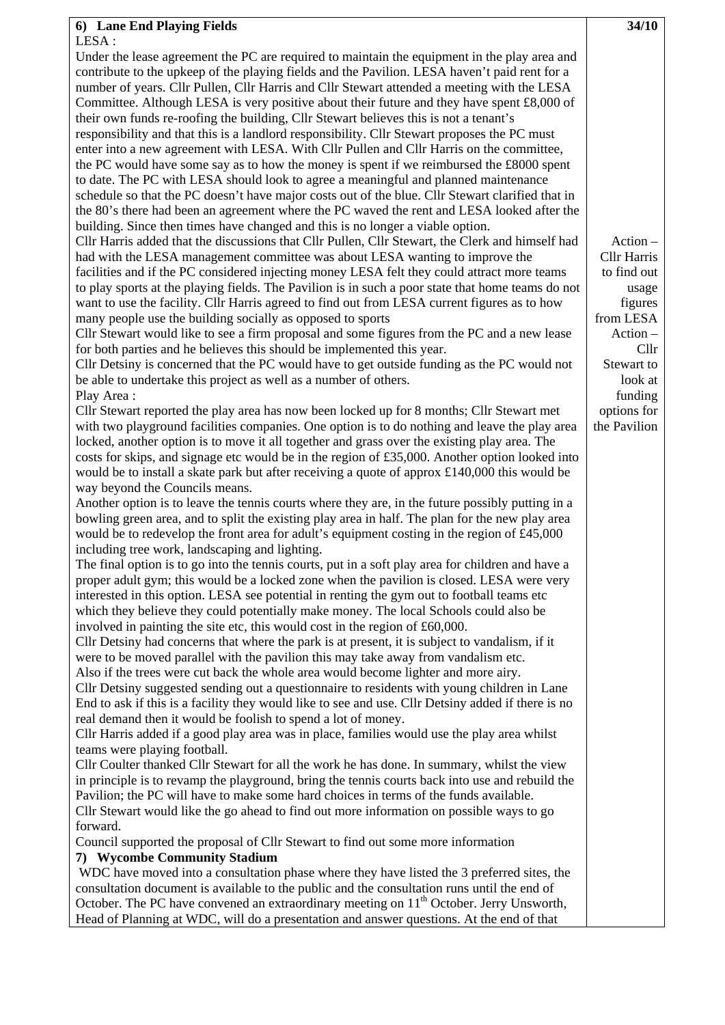| 6) Lane End Playing Fields                                                                                                                                                                        | 34/10                |
|---------------------------------------------------------------------------------------------------------------------------------------------------------------------------------------------------|----------------------|
| LESA :                                                                                                                                                                                            |                      |
| Under the lease agreement the PC are required to maintain the equipment in the play area and                                                                                                      |                      |
| contribute to the upkeep of the playing fields and the Pavilion. LESA haven't paid rent for a<br>number of years. Cllr Pullen, Cllr Harris and Cllr Stewart attended a meeting with the LESA      |                      |
| Committee. Although LESA is very positive about their future and they have spent £8,000 of                                                                                                        |                      |
| their own funds re-roofing the building, Cllr Stewart believes this is not a tenant's                                                                                                             |                      |
| responsibility and that this is a landlord responsibility. Cllr Stewart proposes the PC must                                                                                                      |                      |
| enter into a new agreement with LESA. With Cllr Pullen and Cllr Harris on the committee,                                                                                                          |                      |
| the PC would have some say as to how the money is spent if we reimbursed the £8000 spent                                                                                                          |                      |
| to date. The PC with LESA should look to agree a meaningful and planned maintenance                                                                                                               |                      |
| schedule so that the PC doesn't have major costs out of the blue. Cllr Stewart clarified that in                                                                                                  |                      |
| the 80's there had been an agreement where the PC waved the rent and LESA looked after the                                                                                                        |                      |
| building. Since then times have changed and this is no longer a viable option.                                                                                                                    |                      |
| Cllr Harris added that the discussions that Cllr Pullen, Cllr Stewart, the Clerk and himself had                                                                                                  | $Action -$           |
| had with the LESA management committee was about LESA wanting to improve the                                                                                                                      | <b>Cllr Harris</b>   |
| facilities and if the PC considered injecting money LESA felt they could attract more teams                                                                                                       | to find out          |
| to play sports at the playing fields. The Pavilion is in such a poor state that home teams do not<br>want to use the facility. Cllr Harris agreed to find out from LESA current figures as to how | usage                |
| many people use the building socially as opposed to sports                                                                                                                                        | figures<br>from LESA |
| Cllr Stewart would like to see a firm proposal and some figures from the PC and a new lease                                                                                                       | $Action -$           |
| for both parties and he believes this should be implemented this year.                                                                                                                            | Cllr                 |
| Cllr Detsiny is concerned that the PC would have to get outside funding as the PC would not                                                                                                       | Stewart to           |
| be able to undertake this project as well as a number of others.                                                                                                                                  | look at              |
| Play Area:                                                                                                                                                                                        | funding              |
| Cllr Stewart reported the play area has now been locked up for 8 months; Cllr Stewart met                                                                                                         | options for          |
| with two playground facilities companies. One option is to do nothing and leave the play area                                                                                                     | the Pavilion         |
| locked, another option is to move it all together and grass over the existing play area. The                                                                                                      |                      |
| costs for skips, and signage etc would be in the region of £35,000. Another option looked into                                                                                                    |                      |
| would be to install a skate park but after receiving a quote of approx £140,000 this would be<br>way beyond the Councils means.                                                                   |                      |
| Another option is to leave the tennis courts where they are, in the future possibly putting in a                                                                                                  |                      |
| bowling green area, and to split the existing play area in half. The plan for the new play area                                                                                                   |                      |
| would be to redevelop the front area for adult's equipment costing in the region of $\text{\pounds}45,000$                                                                                        |                      |
| including tree work, landscaping and lighting.                                                                                                                                                    |                      |
| The final option is to go into the tennis courts, put in a soft play area for children and have a                                                                                                 |                      |
| proper adult gym; this would be a locked zone when the pavilion is closed. LESA were very                                                                                                         |                      |
| interested in this option. LESA see potential in renting the gym out to football teams etc                                                                                                        |                      |
| which they believe they could potentially make money. The local Schools could also be                                                                                                             |                      |
| involved in painting the site etc, this would cost in the region of £60,000.                                                                                                                      |                      |
| Cllr Detsiny had concerns that where the park is at present, it is subject to vandalism, if it                                                                                                    |                      |
| were to be moved parallel with the pavilion this may take away from vandalism etc.<br>Also if the trees were cut back the whole area would become lighter and more airy.                          |                      |
| Cllr Detsiny suggested sending out a questionnaire to residents with young children in Lane                                                                                                       |                      |
| End to ask if this is a facility they would like to see and use. Cllr Detsiny added if there is no                                                                                                |                      |
| real demand then it would be foolish to spend a lot of money.                                                                                                                                     |                      |
| Cllr Harris added if a good play area was in place, families would use the play area whilst                                                                                                       |                      |
| teams were playing football.                                                                                                                                                                      |                      |
| Cllr Coulter thanked Cllr Stewart for all the work he has done. In summary, whilst the view                                                                                                       |                      |
| in principle is to revamp the playground, bring the tennis courts back into use and rebuild the                                                                                                   |                      |
| Pavilion; the PC will have to make some hard choices in terms of the funds available.                                                                                                             |                      |
| Cllr Stewart would like the go ahead to find out more information on possible ways to go<br>forward.                                                                                              |                      |
| Council supported the proposal of Cllr Stewart to find out some more information                                                                                                                  |                      |
| 7) Wycombe Community Stadium                                                                                                                                                                      |                      |
| WDC have moved into a consultation phase where they have listed the 3 preferred sites, the                                                                                                        |                      |
| consultation document is available to the public and the consultation runs until the end of                                                                                                       |                      |
| October. The PC have convened an extraordinary meeting on 11 <sup>th</sup> October. Jerry Unsworth,                                                                                               |                      |

Head of Planning at WDC, will do a presentation and answer questions. At the end of that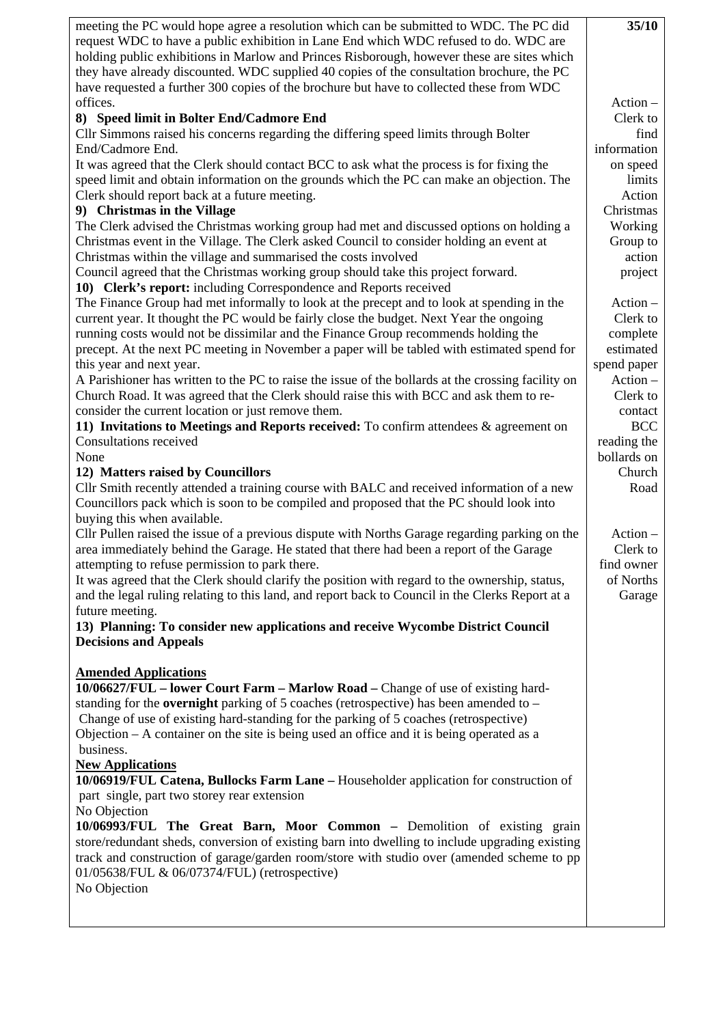| meeting the PC would hope agree a resolution which can be submitted to WDC. The PC did<br>request WDC to have a public exhibition in Lane End which WDC refused to do. WDC are                  |                         |
|-------------------------------------------------------------------------------------------------------------------------------------------------------------------------------------------------|-------------------------|
| holding public exhibitions in Marlow and Princes Risborough, however these are sites which<br>they have already discounted. WDC supplied 40 copies of the consultation brochure, the PC         |                         |
| have requested a further 300 copies of the brochure but have to collected these from WDC                                                                                                        |                         |
| offices.<br>8) Speed limit in Bolter End/Cadmore End                                                                                                                                            | $Action -$<br>Clerk to  |
| Cllr Simmons raised his concerns regarding the differing speed limits through Bolter                                                                                                            | find                    |
| End/Cadmore End.                                                                                                                                                                                | information             |
| It was agreed that the Clerk should contact BCC to ask what the process is for fixing the                                                                                                       | on speed                |
| speed limit and obtain information on the grounds which the PC can make an objection. The<br>Clerk should report back at a future meeting.                                                      | limits<br>Action        |
| 9) Christmas in the Village                                                                                                                                                                     | Christmas               |
| The Clerk advised the Christmas working group had met and discussed options on holding a                                                                                                        | Working                 |
| Christmas event in the Village. The Clerk asked Council to consider holding an event at                                                                                                         | Group to<br>action      |
| Christmas within the village and summarised the costs involved                                                                                                                                  |                         |
| Council agreed that the Christmas working group should take this project forward.<br>10) Clerk's report: including Correspondence and Reports received                                          | project                 |
| The Finance Group had met informally to look at the precept and to look at spending in the                                                                                                      | $Action -$              |
| current year. It thought the PC would be fairly close the budget. Next Year the ongoing                                                                                                         | Clerk to                |
| running costs would not be dissimilar and the Finance Group recommends holding the                                                                                                              | complete                |
| precept. At the next PC meeting in November a paper will be tabled with estimated spend for                                                                                                     | estimated               |
| this year and next year.<br>A Parishioner has written to the PC to raise the issue of the bollards at the crossing facility on                                                                  | spend paper<br>Action - |
| Church Road. It was agreed that the Clerk should raise this with BCC and ask them to re-                                                                                                        | Clerk to                |
| consider the current location or just remove them.                                                                                                                                              | contact                 |
| 11) Invitations to Meetings and Reports received: To confirm attendees $\&$ agreement on                                                                                                        | <b>BCC</b>              |
| Consultations received                                                                                                                                                                          | reading the             |
| None<br>12) Matters raised by Councillors                                                                                                                                                       | bollards on<br>Church   |
| Cllr Smith recently attended a training course with BALC and received information of a new                                                                                                      | Road                    |
| Councillors pack which is soon to be compiled and proposed that the PC should look into                                                                                                         |                         |
| buying this when available.                                                                                                                                                                     |                         |
| Cllr Pullen raised the issue of a previous dispute with Norths Garage regarding parking on the                                                                                                  | $Action -$              |
| area immediately behind the Garage. He stated that there had been a report of the Garage                                                                                                        | Clerk to                |
| attempting to refuse permission to park there.<br>It was agreed that the Clerk should clarify the position with regard to the ownership, status,                                                | find owner<br>of Norths |
| and the legal ruling relating to this land, and report back to Council in the Clerks Report at a                                                                                                | Garage                  |
| future meeting.                                                                                                                                                                                 |                         |
| 13) Planning: To consider new applications and receive Wycombe District Council                                                                                                                 |                         |
| <b>Decisions and Appeals</b>                                                                                                                                                                    |                         |
| <b>Amended Applications</b>                                                                                                                                                                     |                         |
| 10/06627/FUL - lower Court Farm - Marlow Road - Change of use of existing hard-                                                                                                                 |                         |
| standing for the <b>overnight</b> parking of 5 coaches (retrospective) has been amended to $-$                                                                                                  |                         |
| Change of use of existing hard-standing for the parking of 5 coaches (retrospective)<br>Objection $-A$ container on the site is being used an office and it is being operated as a<br>business. |                         |
| <b>New Applications</b>                                                                                                                                                                         |                         |
| 10/06919/FUL Catena, Bullocks Farm Lane – Householder application for construction of<br>part single, part two storey rear extension                                                            |                         |
| No Objection<br>10/06993/FUL The Great Barn, Moor Common - Demolition of existing grain                                                                                                         |                         |
| store/redundant sheds, conversion of existing barn into dwelling to include upgrading existing                                                                                                  |                         |
| track and construction of garage/garden room/store with studio over (amended scheme to pp                                                                                                       |                         |
| 01/05638/FUL & 06/07374/FUL) (retrospective)<br>No Objection                                                                                                                                    |                         |
|                                                                                                                                                                                                 |                         |
|                                                                                                                                                                                                 |                         |